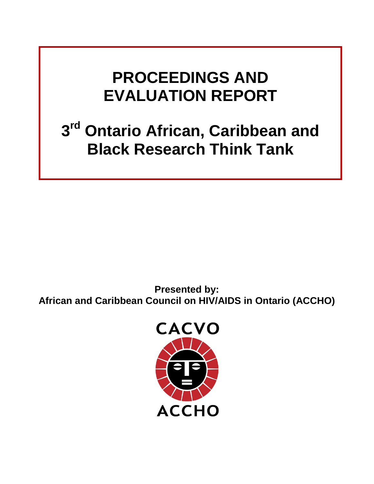# **PROCEEDINGS AND EVALUATION REPORT**

# **3rd Ontario African, Caribbean and Black Research Think Tank**

**Presented by: African and Caribbean Council on HIV/AIDS in Ontario (ACCHO)**

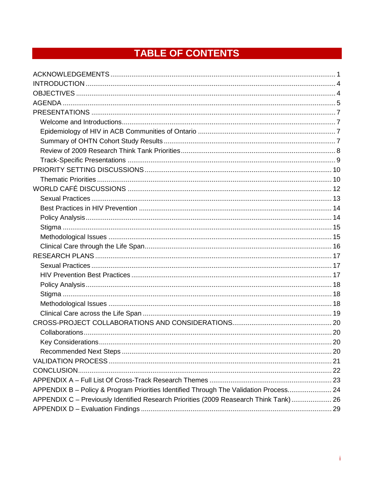## TABLE OF CONTENTS

| APPENDIX B - Policy & Program Priorities Identified Through The Validation Process 24 |  |
|---------------------------------------------------------------------------------------|--|
| APPENDIX C - Previously Identified Research Priorities (2009 Reasearch Think Tank) 26 |  |
|                                                                                       |  |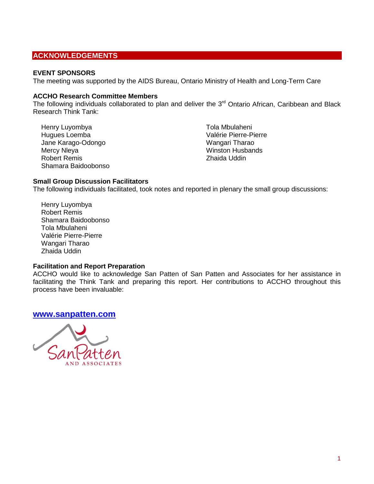## <span id="page-2-0"></span>**ACKNOWLEDGEMENTS**

#### **EVENT SPONSORS**

The meeting was supported by the AIDS Bureau, Ontario Ministry of Health and Long-Term Care

#### **ACCHO Research Committee Members**

The following individuals collaborated to plan and deliver the  $3<sup>rd</sup>$  Ontario African, Caribbean and Black Research Think Tank:

Henry Luyombya Hugues Loemba Jane Karago-Odongo Mercy Nleya Robert Remis Shamara Baidoobonso Tola Mbulaheni Valérie Pierre-Pierre Wangari Tharao Winston Husbands Zhaida Uddin

#### **Small Group Discussion Facilitators**

The following individuals facilitated, took notes and reported in plenary the small group discussions:

Henry Luyombya Robert Remis Shamara Baidoobonso Tola Mbulaheni Valérie Pierre-Pierre Wangari Tharao Zhaida Uddin

#### **Facilitation and Report Preparation**

ACCHO would like to acknowledge San Patten of San Patten and Associates for her assistance in facilitating the Think Tank and preparing this report. Her contributions to ACCHO throughout this process have been invaluable:

#### **[www.sanpatten.com](http://www.sanpatten.com/)**

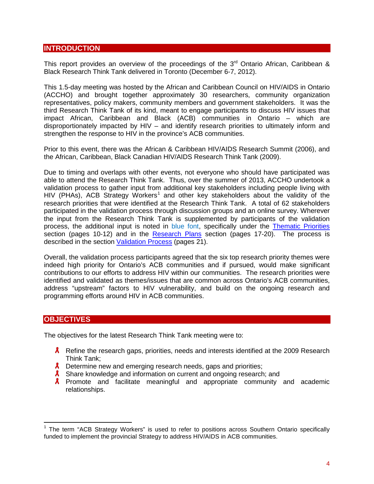## <span id="page-3-0"></span>**INTRODUCTION**

This report provides an overview of the proceedings of the  $3<sup>rd</sup>$  Ontario African, Caribbean & Black Research Think Tank delivered in Toronto (December 6-7, 2012).

This 1.5-day meeting was hosted by the African and Caribbean Council on HIV/AIDS in Ontario (ACCHO) and brought together approximately 30 researchers, community organization representatives, policy makers, community members and government stakeholders. It was the third Research Think Tank of its kind, meant to engage participants to discuss HIV issues that impact African, Caribbean and Black (ACB) communities in Ontario – which are disproportionately impacted by HIV – and identify research priorities to ultimately inform and strengthen the response to HIV in the province's ACB communities.

Prior to this event, there was the African & Caribbean HIV/AIDS Research Summit (2006), and the African, Caribbean, Black Canadian HIV/AIDS Research Think Tank (2009).

Due to timing and overlaps with other events, not everyone who should have participated was able to attend the Research Think Tank. Thus, over the summer of 2013, ACCHO undertook a validation process to gather input from additional key stakeholders including people living with HIV (PHAs), ACB Strategy Workers<sup>[1](#page-3-2)</sup> and other key stakeholders about the validity of the research priorities that were identified at the Research Think Tank. A total of 62 stakeholders participated in the validation process through discussion groups and an online survey. Wherever the input from the Research Think Tank is supplemented by participants of the validation process, the additional input is noted in blue font, specifically under the [Thematic Priorities](#page-9-1) section (pages 10-12) and in the [Research Plans](#page-16-0) section (pages 17-20). The process is described in the section [Validation Process](#page-20-0) (pages 21).

Overall, the validation process participants agreed that the six top research priority themes were indeed high priority for Ontario's ACB communities and if pursued, would make significant contributions to our efforts to address HIV within our communities. The research priorities were identified and validated as themes/issues that are common across Ontario's ACB communities, address "upstream" factors to HIV vulnerability, and build on the ongoing research and programming efforts around HIV in ACB communities.

## <span id="page-3-1"></span>**OBJECTIVES**

The objectives for the latest Research Think Tank meeting were to:

- **A** Refine the research gaps, priorities, needs and interests identified at the 2009 Research Think Tank;
- $\lambda$  Determine new and emerging research needs, gaps and priorities;
- **A** Share knowledge and information on current and ongoing research; and
- **A** Promote and facilitate meaningful and appropriate community and academic relationships.

<span id="page-3-2"></span> $1$  The term "ACB Strategy Workers" is used to refer to positions across Southern Ontario specifically funded to implement the provincial Strategy to address HIV/AIDS in ACB communities.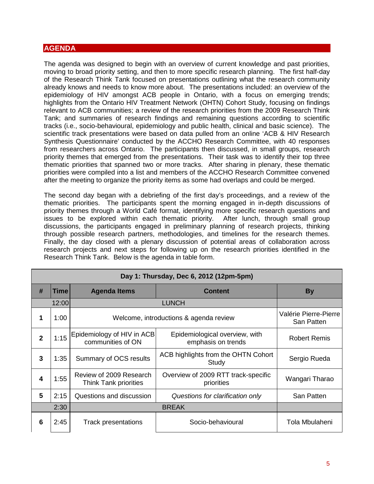## <span id="page-4-0"></span>**AGENDA**

The agenda was designed to begin with an overview of current knowledge and past priorities, moving to broad priority setting, and then to more specific research planning. The first half-day of the Research Think Tank focused on presentations outlining what the research community already knows and needs to know more about. The presentations included: an overview of the epidemiology of HIV amongst ACB people in Ontario, with a focus on emerging trends; highlights from the Ontario HIV Treatment Network (OHTN) Cohort Study, focusing on findings relevant to ACB communities; a review of the research priorities from the 2009 Research Think Tank; and summaries of research findings and remaining questions according to scientific tracks (i.e., socio-behavioural, epidemiology and public health, clinical and basic science). The scientific track presentations were based on data pulled from an online 'ACB & HIV Research Synthesis Questionnaire' conducted by the ACCHO Research Committee, with 40 responses from researchers across Ontario. The participants then discussed, in small groups, research priority themes that emerged from the presentations. Their task was to identify their top three thematic priorities that spanned two or more tracks. After sharing in plenary, these thematic priorities were compiled into a list and members of the ACCHO Research Committee convened after the meeting to organize the priority items as some had overlaps and could be merged.

The second day began with a debriefing of the first day's proceedings, and a review of the thematic priorities. The participants spent the morning engaged in in-depth discussions of priority themes through a World Café format, identifying more specific research questions and issues to be explored within each thematic priority. After lunch, through small group discussions, the participants engaged in preliminary planning of research projects, thinking through possible research partners, methodologies, and timelines for the research themes. Finally, the day closed with a plenary discussion of potential areas of collaboration across research projects and next steps for following up on the research priorities identified in the Research Think Tank. Below is the agenda in table form.

|              | Day 1: Thursday, Dec 6, 2012 (12pm-5pm) |                                                         |                                                      |                                     |
|--------------|-----------------------------------------|---------------------------------------------------------|------------------------------------------------------|-------------------------------------|
| #            | Time                                    | <b>Agenda Items</b>                                     | <b>Content</b>                                       | <b>By</b>                           |
|              | 12:00                                   |                                                         | <b>LUNCH</b>                                         |                                     |
| 1            | 1:00                                    | Welcome, introductions & agenda review                  |                                                      | Valérie Pierre-Pierre<br>San Patten |
| $\mathbf{2}$ | 1:15                                    | Epidemiology of HIV in ACB<br>communities of ON         | Epidemiological overview, with<br>emphasis on trends | <b>Robert Remis</b>                 |
| 3            | 1:35                                    | Summary of OCS results                                  | ACB highlights from the OHTN Cohort<br>Study         | Sergio Rueda                        |
| 4            | 1:55                                    | Review of 2009 Research<br><b>Think Tank priorities</b> | Overview of 2009 RTT track-specific<br>priorities    | Wangari Tharao                      |
| 5            | 2:15                                    | Questions and discussion                                | Questions for clarification only                     | San Patten                          |
|              | 2:30<br><b>BREAK</b>                    |                                                         |                                                      |                                     |
| 6            | 2:45                                    | <b>Track presentations</b>                              | Socio-behavioural                                    | Tola Mbulaheni                      |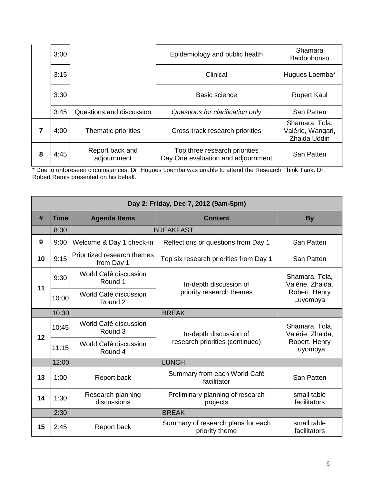|   | 3:00 |                                | Epidemiology and public health                                      | Shamara                                             |
|---|------|--------------------------------|---------------------------------------------------------------------|-----------------------------------------------------|
|   |      |                                |                                                                     | Baidoobonso                                         |
|   | 3:15 |                                | Clinical                                                            | Hugues Loemba*                                      |
|   | 3:30 |                                | Basic science                                                       | <b>Rupert Kaul</b>                                  |
|   | 3:45 | Questions and discussion       | Questions for clarification only                                    | San Patten                                          |
|   | 4:00 | Thematic priorities            | Cross-track research priorities                                     | Shamara, Tola,<br>Valérie, Wangari,<br>Zhaida Uddin |
| 8 | 4:45 | Report back and<br>adjournment | Top three research priorities<br>Day One evaluation and adjournment | <b>San Patten</b>                                   |

\* Due to unforeseen circumstances, Dr. Hugues Loemba was unable to attend the Research Think Tank. Dr. Robert Remis presented on his behalf.

|    | Day 2: Friday, Dec 7, 2012 (9am-5pm)                 |                                           |                                                      |                                    |  |
|----|------------------------------------------------------|-------------------------------------------|------------------------------------------------------|------------------------------------|--|
| #  | <b>Time</b><br><b>Agenda Items</b><br><b>Content</b> |                                           | <b>By</b>                                            |                                    |  |
|    | 8:30                                                 |                                           | <b>BREAKFAST</b>                                     |                                    |  |
| 9  | 9:00                                                 | Welcome & Day 1 check-in                  | Reflections or questions from Day 1                  | San Patten                         |  |
| 10 | 9:15                                                 | Prioritized research themes<br>from Day 1 | Top six research priorities from Day 1               | San Patten                         |  |
| 11 | 9:30                                                 | World Café discussion<br>Round 1          | In-depth discussion of                               | Shamara, Tola,<br>Valérie, Zhaida, |  |
|    | 10:00                                                | World Café discussion<br>Round 2          | priority research themes                             | Robert, Henry<br>Luyombya          |  |
|    | 10:30                                                |                                           | <b>BREAK</b>                                         |                                    |  |
| 12 | 10:45                                                | World Café discussion<br>Round 3          | In-depth discussion of                               | Shamara, Tola,<br>Valérie, Zhaida, |  |
|    | 11:15                                                | World Café discussion<br>Round 4          | research priorities (continued)                      | Robert, Henry<br>Luyombya          |  |
|    | 12:00                                                |                                           | <b>LUNCH</b>                                         |                                    |  |
| 13 | 1:00                                                 | Report back                               | Summary from each World Café<br>facilitator          | San Patten                         |  |
| 14 | 1:30                                                 | Research planning<br>discussions          | Preliminary planning of research<br>projects         | small table<br>facilitators        |  |
|    | 2:30                                                 |                                           | <b>BREAK</b>                                         |                                    |  |
| 15 | 2:45                                                 | Report back                               | Summary of research plans for each<br>priority theme |                                    |  |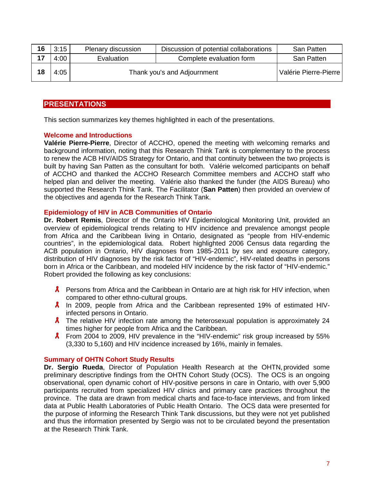| 16 | 3:15 | Plenary discussion          | Discussion of potential collaborations | San Patten            |
|----|------|-----------------------------|----------------------------------------|-----------------------|
|    | 4:00 | Evaluation                  | Complete evaluation form               | San Patten            |
| 18 | 4:05 | Thank you's and Adjournment |                                        | Valérie Pierre-Pierre |

## <span id="page-6-0"></span>**PRESENTATIONS**

This section summarizes key themes highlighted in each of the presentations.

#### <span id="page-6-1"></span>**Welcome and Introductions**

**Valérie Pierre-Pierre**, Director of ACCHO, opened the meeting with welcoming remarks and background information, noting that this Research Think Tank is complementary to the process to renew the ACB HIV/AIDS Strategy for Ontario, and that continuity between the two projects is built by having San Patten as the consultant for both. Valérie welcomed participants on behalf of ACCHO and thanked the ACCHO Research Committee members and ACCHO staff who helped plan and deliver the meeting. Valérie also thanked the funder (the AIDS Bureau) who supported the Research Think Tank. The Facilitator (**San Patten**) then provided an overview of the objectives and agenda for the Research Think Tank.

#### <span id="page-6-2"></span>**Epidemiology of HIV in ACB Communities of Ontario**

**Dr. Robert Remis**, Director of the Ontario HIV Epidemiological Monitoring Unit, provided an overview of epidemiological trends relating to HIV incidence and prevalence amongst people from Africa and the Caribbean living in Ontario, designated as "people from HIV-endemic countries", in the epidemiological data. Robert highlighted 2006 Census data regarding the ACB population in Ontario, HIV diagnoses from 1985-2011 by sex and exposure category, distribution of HIV diagnoses by the risk factor of "HIV-endemic", HIV-related deaths in persons born in Africa or the Caribbean, and modeled HIV incidence by the risk factor of "HIV-endemic." Robert provided the following as key conclusions:

- **A** Persons from Africa and the Caribbean in Ontario are at high risk for HIV infection, when compared to other ethno-cultural groups.
- $\lambda$  In 2009, people from Africa and the Caribbean represented 19% of estimated HIVinfected persons in Ontario.
- $\lambda$  The relative HIV infection rate among the heterosexual population is approximately 24 times higher for people from Africa and the Caribbean.
- $\lambda$  From 2004 to 2009, HIV prevalence in the "HIV-endemic" risk group increased by 55% (3,330 to 5,160) and HIV incidence increased by 16%, mainly in females.

## <span id="page-6-3"></span>**Summary of OHTN Cohort Study Results**

**Dr. Sergio Rueda**, Director of Population Health Research at the OHTN, provided some preliminary descriptive findings from the OHTN Cohort Study (OCS). The OCS is an ongoing observational, open dynamic cohort of HIV-positive persons in care in Ontario, with over 5,900 participants recruited from specialized HIV clinics and primary care practices throughout the province. The data are drawn from medical charts and face-to-face interviews, and from linked data at Public Health Laboratories of Public Health Ontario. The OCS data were presented for the purpose of informing the Research Think Tank discussions, but they were not yet published and thus the information presented by Sergio was not to be circulated beyond the presentation at the Research Think Tank.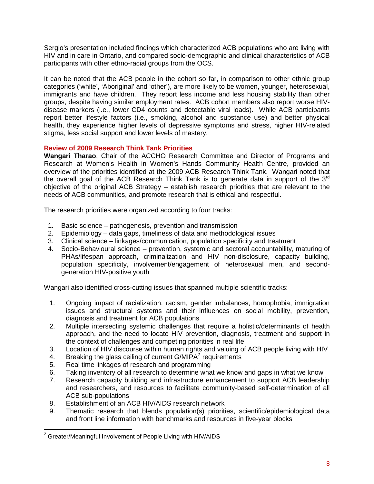Sergio's presentation included findings which characterized ACB populations who are living with HIV and in care in Ontario, and compared socio-demographic and clinical characteristics of ACB participants with other ethno-racial groups from the OCS.

It can be noted that the ACB people in the cohort so far, in comparison to other ethnic group categories ('white', 'Aboriginal' and 'other'), are more likely to be women, younger, heterosexual, immigrants and have children. They report less income and less housing stability than other groups, despite having similar employment rates. ACB cohort members also report worse HIVdisease markers (i.e., lower CD4 counts and detectable viral loads). While ACB participants report better lifestyle factors (i.e., smoking, alcohol and substance use) and better physical health, they experience higher levels of depressive symptoms and stress, higher HIV-related stigma, less social support and lower levels of mastery.

#### <span id="page-7-0"></span>**Review of 2009 Research Think Tank Priorities**

**Wangari Tharao**, Chair of the ACCHO Research Committee and Director of Programs and Research at Women's Health in Women's Hands Community Health Centre, provided an overview of the priorities identified at the 2009 ACB Research Think Tank. Wangari noted that the overall goal of the ACB Research Think Tank is to generate data in support of the 3<sup>rd</sup> objective of the original ACB Strategy – establish research priorities that are relevant to the needs of ACB communities, and promote research that is ethical and respectful.

The research priorities were organized according to four tracks:

- 1. Basic science pathogenesis, prevention and transmission
- 2. Epidemiology data gaps, timeliness of data and methodological issues
- 3. Clinical science linkages/communication, population specificity and treatment
- 4. Socio-Behavioural science prevention, systemic and sectoral accountability, maturing of PHAs/lifespan approach, criminalization and HIV non-disclosure, capacity building, population specificity, involvement/engagement of heterosexual men, and secondgeneration HIV-positive youth

Wangari also identified cross-cutting issues that spanned multiple scientific tracks:

- 1. Ongoing impact of racialization, racism, gender imbalances, homophobia, immigration issues and structural systems and their influences on social mobility, prevention, diagnosis and treatment for ACB populations
- 2. Multiple intersecting systemic challenges that require a holistic/determinants of health approach, and the need to locate HIV prevention, diagnosis, treatment and support in the context of challenges and competing priorities in real life
- 3. Location of HIV discourse within human rights and valuing of ACB people living with HIV
- 4. Breaking the glass ceiling of current  $G/MIPA<sup>2</sup>$  $G/MIPA<sup>2</sup>$  $G/MIPA<sup>2</sup>$  requirements
- 5. Real time linkages of research and programming
- 6. Taking inventory of all research to determine what we know and gaps in what we know
- 7. Research capacity building and infrastructure enhancement to support ACB leadership and researchers, and resources to facilitate community-based self-determination of all ACB sub-populations
- 8. Establishment of an ACB HIV/AIDS research network
- 9. Thematic research that blends population(s) priorities, scientific/epidemiological data and front line information with benchmarks and resources in five-year blocks

<span id="page-7-1"></span><sup>&</sup>lt;sup>2</sup> Greater/Meaningful Involvement of People Living with HIV/AIDS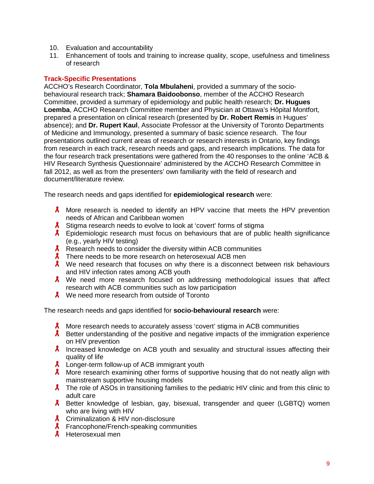- 10. Evaluation and accountability
- 11. Enhancement of tools and training to increase quality, scope, usefulness and timeliness of research

#### <span id="page-8-0"></span>**Track-Specific Presentations**

ACCHO's Research Coordinator, **Tola Mbulaheni**, provided a summary of the sociobehavioural research track; **Shamara Baidoobonso**, member of the ACCHO Research Committee, provided a summary of epidemiology and public health research; **Dr. Hugues Loemba**, ACCHO Research Committee member and Physician at Ottawa's Hôpital Montfort, prepared a presentation on clinical research (presented by **Dr. Robert Remis** in Hugues' absence); and **Dr. Rupert Kaul**, Associate Professor at the University of Toronto Departments of Medicine and Immunology, presented a summary of basic science research. The four presentations outlined current areas of research or research interests in Ontario, key findings from research in each track, research needs and gaps, and research implications. The data for the four research track presentations were gathered from the 40 responses to the online 'ACB & HIV Research Synthesis Questionnaire' administered by the ACCHO Research Committee in fall 2012, as well as from the presenters' own familiarity with the field of research and document/literature review.

The research needs and gaps identified for **epidemiological research** were:

- **A** More research is needed to identify an HPV vaccine that meets the HPV prevention needs of African and Caribbean women
- **A** Stigma research needs to evolve to look at 'covert' forms of stigma
- $\lambda$  Epidemiologic research must focus on behaviours that are of public health significance (e.g., yearly HIV testing)
- $\lambda$  Research needs to consider the diversity within ACB communities
- $\lambda$  There needs to be more research on heterosexual ACB men
- $\lambda$  We need research that focuses on why there is a disconnect between risk behaviours and HIV infection rates among ACB youth
- $\lambda$  We need more research focused on addressing methodological issues that affect research with ACB communities such as low participation
- **A** We need more research from outside of Toronto

The research needs and gaps identified for **socio-behavioural research** were:

- $\lambda$  More research needs to accurately assess 'covert' stigma in ACB communities
- $\lambda$  Better understanding of the positive and negative impacts of the immigration experience on HIV prevention
- $\lambda$  Increased knowledge on ACB youth and sexuality and structural issues affecting their quality of life
- **A** Longer-term follow-up of ACB immigrant youth
- **A** More research examining other forms of supportive housing that do not neatly align with mainstream supportive housing models
- $\lambda$  The role of ASOs in transitioning families to the pediatric HIV clinic and from this clinic to adult care
- A Better knowledge of lesbian, gay, bisexual, transgender and queer (LGBTQ) women who are living with HIV
- **A** Criminalization & HIV non-disclosure
- **A** Francophone/French-speaking communities
- **A** Heterosexual men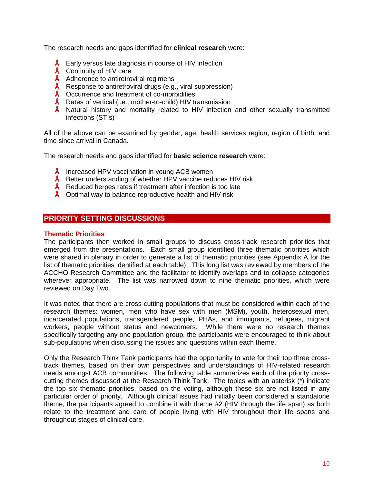The research needs and gaps identified for **clinical research** were:

- Early versus late diagnosis in course of HIV infection
- **A** Continuity of HIV care
- A Adherence to antiretroviral regimens
- $\lambda$  Response to antiretroviral drugs (e.g., viral suppression)
- **A** Occurrence and treatment of co-morbidities
- $\lambda$  Rates of vertical (i.e., mother-to-child) HIV transmission
- **A** Natural history and mortality related to HIV infection and other sexually transmitted infections (STIs)

All of the above can be examined by gender, age, health services region, region of birth, and time since arrival in Canada.

The research needs and gaps identified for **basic science research** were:

- $\lambda$  Increased HPV vaccination in young ACB women
- **A** Better understanding of whether HPV vaccine reduces HIV risk
- $\lambda$  Reduced herpes rates if treatment after infection is too late
- $\lambda$  Optimal way to balance reproductive health and HIV risk

## <span id="page-9-0"></span>**PRIORITY SETTING DISCUSSIONS**

#### <span id="page-9-1"></span>**Thematic Priorities**

The participants then worked in small groups to discuss cross-track research priorities that emerged from the presentations. Each small group identified three thematic priorities which were shared in plenary in order to generate a list of thematic priorities (see Appendix A for the list of thematic priorities identified at each table). This long list was reviewed by members of the ACCHO Research Committee and the facilitator to identify overlaps and to collapse categories wherever appropriate. The list was narrowed down to nine thematic priorities, which were reviewed on Day Two.

It was noted that there are cross-cutting populations that must be considered within each of the research themes: women, men who have sex with men (MSM), youth, heterosexual men, incarcerated populations, transgendered people, PHAs, and immigrants, refugees, migrant workers, people without status and newcomers. While there were no research themes specifically targeting any one population group, the participants were encouraged to think about sub-populations when discussing the issues and questions within each theme.

Only the Research Think Tank participants had the opportunity to vote for their top three crosstrack themes, based on their own perspectives and understandings of HIV-related research needs amongst ACB communities. The following table summarizes each of the priority crosscutting themes discussed at the Research Think Tank. The topics with an asterisk (\*) indicate the top six thematic priorities, based on the voting, although these six are not listed in any particular order of priority. Although clinical issues had initially been considered a standalone theme, the participants agreed to combine it with theme #2 (HIV through the life span) as both relate to the treatment and care of people living with HIV throughout their life spans and throughout stages of clinical care.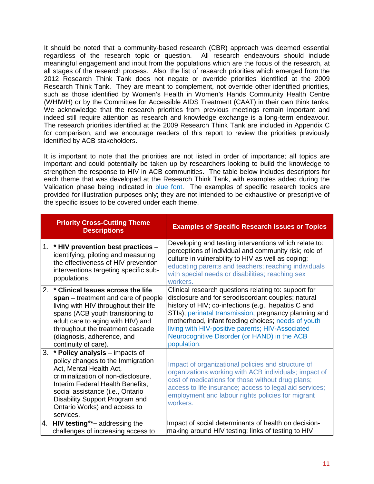It should be noted that a community-based research (CBR) approach was deemed essential regardless of the research topic or question. All research endeavours should include meaningful engagement and input from the populations which are the focus of the research, at all stages of the research process. Also, the list of research priorities which emerged from the 2012 Research Think Tank does not negate or override priorities identified at the 2009 Research Think Tank. They are meant to complement, not override other identified priorities, such as those identified by Women's Health in Women's Hands Community Health Centre (WHIWH) or by the Committee for Accessible AIDS Treatment (CAAT) in their own think tanks. We acknowledge that the research priorities from previous meetings remain important and indeed still require attention as research and knowledge exchange is a long-term endeavour. The research priorities identified at the 2009 Research Think Tank are included in Appendix C for comparison, and we encourage readers of this report to review the priorities previously identified by ACB stakeholders.

It is important to note that the priorities are not listed in order of importance; all topics are important and could potentially be taken up by researchers looking to build the knowledge to strengthen the response to HIV in ACB communities. The table below includes descriptors for each theme that was developed at the Research Think Tank, with examples added during the Validation phase being indicated in blue font. The examples of specific research topics are provided for illustration purposes only; they are not intended to be exhaustive or prescriptive of the specific issues to be covered under each theme.

|    | <b>Priority Cross-Cutting Theme</b><br><b>Descriptions</b>                                                                                                                                                                                                                                  | <b>Examples of Specific Research Issues or Topics</b>                                                                                                                                                                                                                                                                                                                                                |
|----|---------------------------------------------------------------------------------------------------------------------------------------------------------------------------------------------------------------------------------------------------------------------------------------------|------------------------------------------------------------------------------------------------------------------------------------------------------------------------------------------------------------------------------------------------------------------------------------------------------------------------------------------------------------------------------------------------------|
|    | 1. * HIV prevention best practices -<br>identifying, piloting and measuring<br>the effectiveness of HIV prevention<br>interventions targeting specific sub-<br>populations.                                                                                                                 | Developing and testing interventions which relate to:<br>perceptions of individual and community risk; role of<br>culture in vulnerability to HIV as well as coping;<br>educating parents and teachers; reaching individuals<br>with special needs or disabilities; reaching sex<br>workers.                                                                                                         |
| 2. | * Clinical Issues across the life<br>span – treatment and care of people<br>living with HIV throughout their life<br>spans (ACB youth transitioning to<br>adult care to aging with HIV) and<br>throughout the treatment cascade<br>(diagnosis, adherence, and<br>continuity of care).       | Clinical research questions relating to: support for<br>disclosure and for serodiscordant couples; natural<br>history of HIV; co-infections (e.g., hepatitis C and<br>STIs); perinatal transmission, pregnancy planning and<br>motherhood, infant feeding choices; needs of youth<br>living with HIV-positive parents; HIV-Associated<br>Neurocognitive Disorder (or HAND) in the ACB<br>population. |
| 3. | * Policy analysis – impacts of<br>policy changes to the Immigration<br>Act, Mental Health Act,<br>criminalization of non-disclosure,<br>Interim Federal Health Benefits,<br>social assistance (i.e., Ontario<br>Disability Support Program and<br>Ontario Works) and access to<br>services. | Impact of organizational policies and structure of<br>organizations working with ACB individuals; impact of<br>cost of medications for those without drug plans;<br>access to life insurance; access to legal aid services;<br>employment and labour rights policies for migrant<br>workers.                                                                                                         |
|    | 4. HIV testing**- addressing the<br>challenges of increasing access to                                                                                                                                                                                                                      | Impact of social determinants of health on decision-<br>making around HIV testing; links of testing to HIV                                                                                                                                                                                                                                                                                           |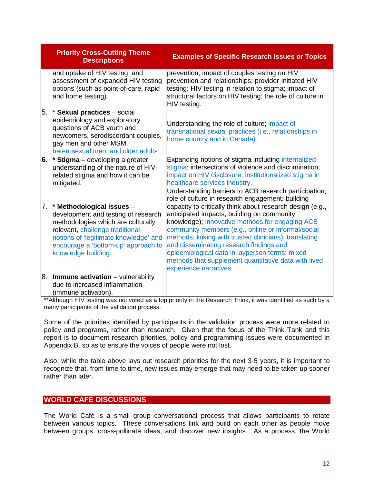|    | <b>Priority Cross-Cutting Theme</b><br><b>Descriptions</b>                                                                                                                                                                                          | <b>Examples of Specific Research Issues or Topics</b>                                                                                                                                                                                                                                                                                                                                                                                                                                                                                                                  |
|----|-----------------------------------------------------------------------------------------------------------------------------------------------------------------------------------------------------------------------------------------------------|------------------------------------------------------------------------------------------------------------------------------------------------------------------------------------------------------------------------------------------------------------------------------------------------------------------------------------------------------------------------------------------------------------------------------------------------------------------------------------------------------------------------------------------------------------------------|
|    | and uptake of HIV testing, and<br>assessment of expanded HIV testing<br>options (such as point-of-care, rapid<br>and home testing).                                                                                                                 | prevention; impact of couples testing on HIV<br>prevention and relationships; provider-initiated HIV<br>testing; HIV testing in relation to stigma; impact of<br>structural factors on HIV testing; the role of culture in<br>HIV testing.                                                                                                                                                                                                                                                                                                                             |
| 5. | * Sexual practices - social<br>epidemiology and exploratory<br>questions of ACB youth and<br>newcomers, serodiscordant couples,<br>gay men and other MSM,<br>heterosexual men, and older adults                                                     | Understanding the role of culture; impact of<br>transnational sexual practices (i.e., relationships in<br>home country and in Canada).                                                                                                                                                                                                                                                                                                                                                                                                                                 |
|    | 6. * Stigma – developing a greater<br>understanding of the nature of HIV-<br>related stigma and how it can be<br>mitigated.                                                                                                                         | Expanding notions of stigma including internalized<br>stigma; intersections of violence and discrimination;<br>impact on HIV disclosure; institutionalized stigma in<br>healthcare services industry.                                                                                                                                                                                                                                                                                                                                                                  |
|    | 7. * Methodological issues -<br>development and testing of research<br>methodologies which are culturally<br>relevant, challenge traditional<br>notions of 'legitimate knowledge' and<br>encourage a 'bottom-up' approach to<br>knowledge building. | Understanding barriers to ACB research participation;<br>role of culture in research engagement; building<br>capacity to critically think about research design (e.g.,<br>anticipated impacts, building on community<br>knowledge); innovative methods for engaging ACB<br>community members (e.g., online or informal/social<br>methods, linking with trusted clinicians); translating<br>and disseminating research findings and<br>epidemiological data in layperson terms; mixed<br>methods that supplement quantitative data with lived<br>experience narratives. |
|    | $8.$ Immune activation $-$ vulnerability<br>due to increased inflammation<br>(immune activation).                                                                                                                                                   |                                                                                                                                                                                                                                                                                                                                                                                                                                                                                                                                                                        |

\*\*Although HIV testing was not voted as a top priority in the Research Think, it was identified as such by a many participants of the validation process.

Some of the priorities identified by participants in the validation process were more related to policy and programs, rather than research. Given that the focus of the Think Tank and this report is to document research priorities, policy and programming issues were documented in Appendix B, so as to ensure the voices of people were not lost.

Also, while the table above lays out research priorities for the next 3-5 years, it is important to recognize that, from time to time, new issues may emerge that may need to be taken up sooner rather than later.

## <span id="page-11-0"></span>**WORLD CAFÉ DISCUSSIONS**

The World Café is a small group conversational process that allows participants to rotate between various topics. These conversations link and build on each other as people move between groups, cross-pollinate ideas, and discover new insights. As a process, the World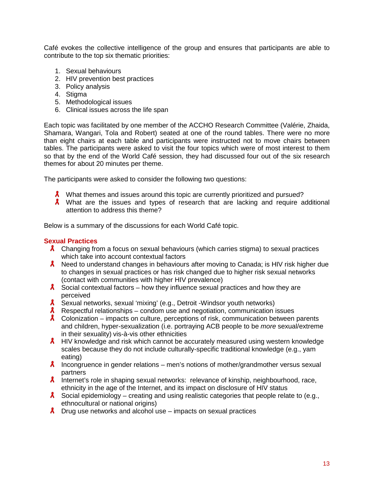Café evokes the collective intelligence of the group and ensures that participants are able to contribute to the top six thematic priorities:

- 1. Sexual behaviours
- 2. HIV prevention best practices
- 3. Policy analysis
- 4. Stigma
- 5. Methodological issues
- 6. Clinical issues across the life span

Each topic was facilitated by one member of the ACCHO Research Committee (Valérie, Zhaida, Shamara, Wangari, Tola and Robert) seated at one of the round tables. There were no more than eight chairs at each table and participants were instructed not to move chairs between tables. The participants were asked to visit the four topics which were of most interest to them so that by the end of the World Café session, they had discussed four out of the six research themes for about 20 minutes per theme.

The participants were asked to consider the following two questions:

- A What themes and issues around this topic are currently prioritized and pursued?
- $\lambda$  What are the issues and types of research that are lacking and require additional attention to address this theme?

Below is a summary of the discussions for each World Café topic.

#### <span id="page-12-0"></span>**Sexual Practices**

- $\lambda$  Changing from a focus on sexual behaviours (which carries stigma) to sexual practices which take into account contextual factors
- $\lambda$  Need to understand changes in behaviours after moving to Canada; is HIV risk higher due to changes in sexual practices or has risk changed due to higher risk sexual networks (contact with communities with higher HIV prevalence)
- $\lambda$  Social contextual factors how they influence sexual practices and how they are perceived
- **A** Sexual networks, sexual 'mixing' (e.g., Detroit -Windsor youth networks)
- $\lambda$  Respectful relationships condom use and negotiation, communication issues
- $\lambda$  Colonization impacts on culture, perceptions of risk, communication between parents and children, hyper-sexualization (i.e. portraying ACB people to be *more* sexual/extreme in their sexuality) vis-à-vis other ethnicities
- $\lambda$  HIV knowledge and risk which cannot be accurately measured using western knowledge scales because they do not include culturally-specific traditional knowledge (e.g., yam eating)
- **A** Incongruence in gender relations men's notions of mother/grandmother versus sexual partners
- $\lambda$  Internet's role in shaping sexual networks: relevance of kinship, neighbourhood, race, ethnicity in the age of the Internet, and its impact on disclosure of HIV status
- $\lambda$  Social epidemiology creating and using realistic categories that people relate to (e.g., ethnocultural or national origins)
- $\lambda$  Drug use networks and alcohol use impacts on sexual practices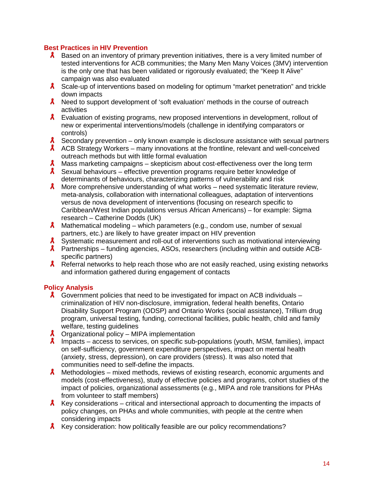## <span id="page-13-0"></span>**Best Practices in HIV Prevention**

- **A** Based on an inventory of primary prevention initiatives, there is a very limited number of tested interventions for ACB communities; the Many Men Many Voices (3MV) intervention is the only one that has been validated or rigorously evaluated; the "Keep It Alive" campaign was also evaluated
- **A** Scale-up of interventions based on modeling for optimum "market penetration" and trickle down impacts
- **A** Need to support development of 'soft evaluation' methods in the course of outreach activities
- **A** Evaluation of existing programs, new proposed interventions in development, rollout of new or experimental interventions/models (challenge in identifying comparators or controls)
- $\lambda$  Secondary prevention only known example is disclosure assistance with sexual partners
- $\lambda$  ACB Strategy Workers many innovations at the frontline, relevant and well-conceived outreach methods but with little formal evaluation
- $\lambda$  Mass marketing campaigns skepticism about cost-effectiveness over the long term
- $\lambda$  Sexual behaviours effective prevention programs require better knowledge of determinants of behaviours, characterizing patterns of vulnerability and risk
- **A** More comprehensive understanding of what works need systematic literature review, meta-analysis, collaboration with international colleagues, adaptation of interventions versus de nova development of interventions (focusing on research specific to Caribbean/West Indian populations versus African Americans) – for example: Sigma research – Catherine Dodds (UK)
- $\lambda$  Mathematical modeling which parameters (e.g., condom use, number of sexual partners, etc.) are likely to have greater impact on HIV prevention
- **A** Systematic measurement and roll-out of interventions such as motivational interviewing
- A Partnerships funding agencies, ASOs, researchers (including within and outside ACBspecific partners)
- **A** Referral networks to help reach those who are not easily reached, using existing networks and information gathered during engagement of contacts

## <span id="page-13-1"></span>**Policy Analysis**

- $\lambda$  Government policies that need to be investigated for impact on ACB individuals criminalization of HIV non-disclosure, immigration, federal health benefits, Ontario Disability Support Program (ODSP) and Ontario Works (social assistance), Trillium drug program, universal testing, funding, correctional facilities, public health, child and family welfare, testing guidelines
- $\lambda$  Organizational policy MIPA implementation
- **A** Impacts access to services, on specific sub-populations (youth, MSM, families), impact on self-sufficiency, government expenditure perspectives, impact on mental health (anxiety, stress, depression), on care providers (stress). It was also noted that communities need to self-define the impacts.
- **A** Methodologies mixed methods, reviews of existing research, economic arguments and models (cost-effectiveness), study of effective policies and programs, cohort studies of the impact of policies, organizational assessments (e.g., MIPA and role transitions for PHAs from volunteer to staff members)
- $\lambda$  Key considerations critical and intersectional approach to documenting the impacts of policy changes, on PHAs and whole communities, with people at the centre when considering impacts
- $\lambda$  Key consideration: how politically feasible are our policy recommendations?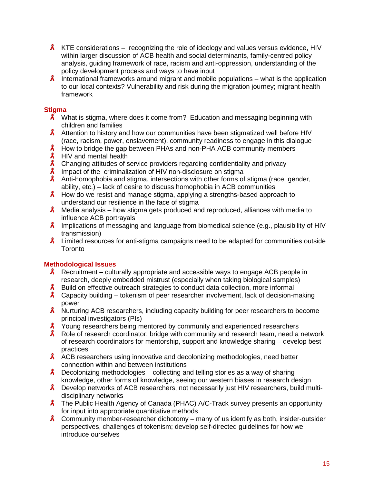- $\lambda$  KTE considerations recognizing the role of ideology and values versus evidence, HIV within larger discussion of ACB health and social determinants, family-centred policy analysis, guiding framework of race, racism and anti-oppression, understanding of the policy development process and ways to have input
- **A** International frameworks around migrant and mobile populations what is the application to our local contexts? Vulnerability and risk during the migration journey; migrant health framework

## <span id="page-14-0"></span>**Stigma**

- $\lambda$  What is stigma, where does it come from? Education and messaging beginning with children and families
- Attention to history and how our communities have been stigmatized well before HIV (race, racism, power, enslavement), community readiness to engage in this dialogue
- $\lambda$  How to bridge the gap between PHAs and non-PHA ACB community members
- $\lambda$  HIV and mental health
- A Changing attitudes of service providers regarding confidentiality and privacy
- $\lambda$ Impact of the criminalization of HIV non-disclosure on stigma
- Anti-homophobia and stigma, intersections with other forms of stigma (race, gender, ability, etc.) – lack of desire to discuss homophobia in ACB communities
- **A** How do we resist and manage stigma, applying a strengths-based approach to understand our resilience in the face of stigma
- $\lambda$  Media analysis how stigma gets produced and reproduced, alliances with media to influence ACB portrayals
- $\lambda$  Implications of messaging and language from biomedical science (e.g., plausibility of HIV transmission)
- **A** Limited resources for anti-stigma campaigns need to be adapted for communities outside **Toronto**

## <span id="page-14-1"></span>**Methodological Issu**e**s**

- **A** Recruitment culturally appropriate and accessible ways to engage ACB people in research, deeply embedded mistrust (especially when taking biological samples)
- A Build on effective outreach strategies to conduct data collection, more informal
- **A** Capacity building tokenism of peer researcher involvement, lack of decision-making power
- **A** Nurturing ACB researchers, including capacity building for peer researchers to become principal investigators (PIs)
- **A** Young researchers being mentored by community and experienced researchers
- $\lambda$  Role of research coordinator: bridge with community and research team, need a network of research coordinators for mentorship, support and knowledge sharing – develop best practices
- A ACB researchers using innovative and decolonizing methodologies, need better connection within and between institutions
- **A** Decolonizing methodologies collecting and telling stories as a way of sharing knowledge, other forms of knowledge, seeing our western biases in research design
- **A** Develop networks of ACB researchers, not necessarily just HIV researchers, build multidisciplinary networks
- A The Public Health Agency of Canada (PHAC) A/C-Track survey presents an opportunity for input into appropriate quantitative methods
- **A** Community member-researcher dichotomy many of us identify as both, insider-outsider perspectives, challenges of tokenism; develop self-directed guidelines for how we introduce ourselves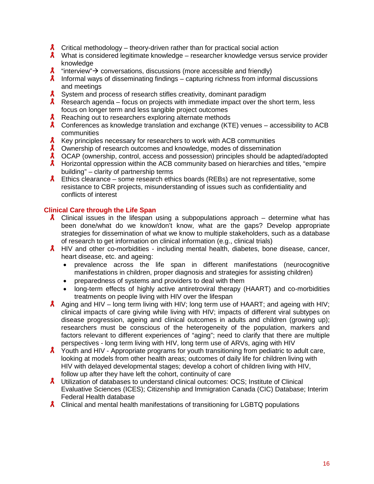- **A** Critical methodology theory-driven rather than for practical social action
- **A** What is considered legitimate knowledge researcher knowledge versus service provider knowledge
- $\lambda$  "interview"  $\rightarrow$  conversations, discussions (more accessible and friendly)
- **A** Informal ways of disseminating findings capturing richness from informal discussions and meetings
- **A** System and process of research stifles creativity, dominant paradigm
- **A** Research agenda focus on projects with immediate impact over the short term, less focus on longer term and less tangible project outcomes
- $\lambda$  Reaching out to researchers exploring alternate methods
- $\lambda$  Conferences as knowledge translation and exchange (KTE) venues accessibility to ACB communities
- $\lambda$  Key principles necessary for researchers to work with ACB communities
- **A** Ownership of research outcomes and knowledge, modes of dissemination
- A OCAP (ownership, control, access and possession) principles should be adapted/adopted
- **A** Horizontal oppression within the ACB community based on hierarchies and titles, "empire building" – clarity of partnership terms
- **A** Ethics clearance some research ethics boards (REBs) are not representative, some resistance to CBR projects, misunderstanding of issues such as confidentiality and conflicts of interest

#### <span id="page-15-0"></span>**Clinical Care through the Life Span**

- **A** Clinical issues in the lifespan using a subpopulations approach determine what has been done/what do we know/don't know, what are the gaps? Develop appropriate strategies for dissemination of what we know to multiple stakeholders, such as a database of research to get information on clinical information (e.g., clinical trials)
- $\lambda$  HIV and other co-morbidities including mental health, diabetes, bone disease, cancer, heart disease, etc. and ageing:
	- prevalence across the life span in different manifestations (neurocognitive manifestations in children, proper diagnosis and strategies for assisting children)
	- preparedness of systems and providers to deal with them
	- long-term effects of highly active antiretroviral therapy (HAART) and co-morbidities treatments on people living with HIV over the lifespan
- A Aging and HIV long term living with HIV; long term use of HAART; and ageing with HIV; clinical impacts of care giving while living with HIV; impacts of different viral subtypes on disease progression, ageing and clinical outcomes in adults and children (growing up); researchers must be conscious of the heterogeneity of the population, markers and factors relevant to different experiences of "aging"; need to clarify that there are multiple perspectives - long term living with HIV, long term use of ARVs, aging with HIV
- $\lambda$  Youth and HIV Appropriate programs for youth transitioning from pediatric to adult care, looking at models from other health areas; outcomes of daily life for children living with HIV with delayed developmental stages; develop a cohort of children living with HIV, follow up after they have left the cohort, continuity of care
- **A** Utilization of databases to understand clinical outcomes: OCS; Institute of Clinical Evaluative Sciences (ICES); Citizenship and Immigration Canada (CIC) Database; Interim Federal Health database
- $\lambda$  Clinical and mental health manifestations of transitioning for LGBTQ populations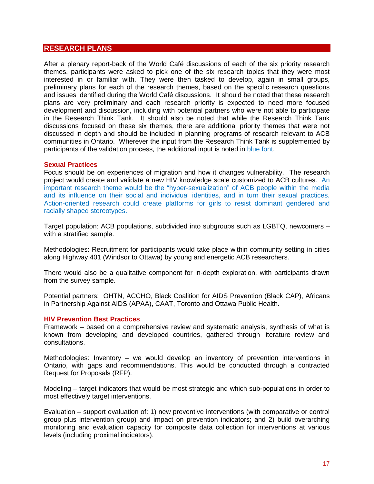#### <span id="page-16-0"></span>**RESEARCH PLANS**

After a plenary report-back of the World Café discussions of each of the six priority research themes, participants were asked to pick one of the six research topics that they were most interested in or familiar with. They were then tasked to develop, again in small groups, preliminary plans for each of the research themes, based on the specific research questions and issues identified during the World Café discussions. It should be noted that these research plans are very preliminary and each research priority is expected to need more focused development and discussion, including with potential partners who were not able to participate in the Research Think Tank. It should also be noted that while the Research Think Tank discussions focused on these six themes, there are additional priority themes that were not discussed in depth and should be included in planning programs of research relevant to ACB communities in Ontario. Wherever the input from the Research Think Tank is supplemented by participants of the validation process, the additional input is noted in blue font.

#### <span id="page-16-1"></span>**Sexual Practices**

Focus should be on experiences of migration and how it changes vulnerability. The research project would create and validate a new HIV knowledge scale customized to ACB cultures. An important research theme would be the "hyper-sexualization" of ACB people within the media and its influence on their social and individual identities, and in turn their sexual practices. Action-oriented research could create platforms for girls to resist dominant gendered and racially shaped stereotypes.

Target population: ACB populations, subdivided into subgroups such as LGBTQ, newcomers – with a stratified sample.

Methodologies: Recruitment for participants would take place within community setting in cities along Highway 401 (Windsor to Ottawa) by young and energetic ACB researchers.

There would also be a qualitative component for in-depth exploration, with participants drawn from the survey sample.

Potential partners: OHTN, ACCHO, Black Coalition for AIDS Prevention (Black CAP), Africans in Partnership Against AIDS (APAA), CAAT, Toronto and Ottawa Public Health.

#### <span id="page-16-2"></span>**HIV Prevention Best Practices**

Framework – based on a comprehensive review and systematic analysis, synthesis of what is known from developing and developed countries, gathered through literature review and consultations.

Methodologies: Inventory – we would develop an inventory of prevention interventions in Ontario, with gaps and recommendations. This would be conducted through a contracted Request for Proposals (RFP).

Modeling – target indicators that would be most strategic and which sub-populations in order to most effectively target interventions.

Evaluation – support evaluation of: 1) new preventive interventions (with comparative or control group plus intervention group) and impact on prevention indicators; and 2) build overarching monitoring and evaluation capacity for composite data collection for interventions at various levels (including proximal indicators).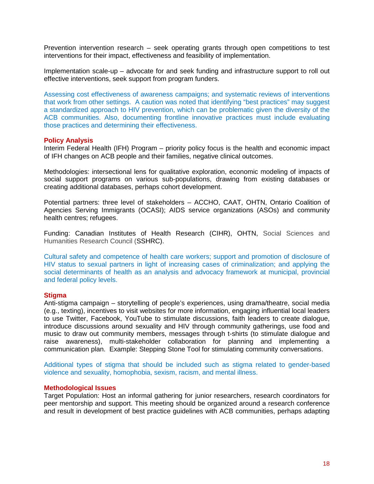Prevention intervention research – seek operating grants through open competitions to test interventions for their impact, effectiveness and feasibility of implementation.

Implementation scale-up – advocate for and seek funding and infrastructure support to roll out effective interventions, seek support from program funders.

Assessing cost effectiveness of awareness campaigns; and systematic reviews of interventions that work from other settings. A caution was noted that identifying "best practices" may suggest a standardized approach to HIV prevention, which can be problematic given the diversity of the ACB communities. Also, documenting frontline innovative practices must include evaluating those practices and determining their effectiveness.

#### <span id="page-17-0"></span>**Policy Analysis**

Interim Federal Health (IFH) Program – priority policy focus is the health and economic impact of IFH changes on ACB people and their families, negative clinical outcomes.

Methodologies: intersectional lens for qualitative exploration, economic modeling of impacts of social support programs on various sub-populations, drawing from existing databases or creating additional databases, perhaps cohort development.

Potential partners: three level of stakeholders – ACCHO, CAAT, OHTN, Ontario Coalition of Agencies Serving Immigrants (OCASI); AIDS service organizations (ASOs) and community health centres; refugees.

Funding: Canadian Institutes of Health Research (CIHR), OHTN, Social Sciences and Humanities Research Council (SSHRC).

Cultural safety and competence of health care workers; support and promotion of disclosure of HIV status to sexual partners in light of increasing cases of criminalization; and applying the social determinants of health as an analysis and advocacy framework at municipal, provincial and federal policy levels.

#### <span id="page-17-1"></span>**Stigma**

Anti-stigma campaign – storytelling of people's experiences, using drama/theatre, social media (e.g., texting), incentives to visit websites for more information, engaging influential local leaders to use Twitter, Facebook, YouTube to stimulate discussions, faith leaders to create dialogue, introduce discussions around sexuality and HIV through community gatherings, use food and music to draw out community members, messages through t-shirts (to stimulate dialogue and raise awareness), multi-stakeholder collaboration for planning and implementing a communication plan. Example: Stepping Stone Tool for stimulating community conversations.

Additional types of stigma that should be included such as stigma related to gender-based violence and sexuality, homophobia, sexism, racism, and mental illness.

#### <span id="page-17-2"></span>**Methodological Issues**

Target Population: Host an informal gathering for junior researchers, research coordinators for peer mentorship and support. This meeting should be organized around a research conference and result in development of best practice guidelines with ACB communities, perhaps adapting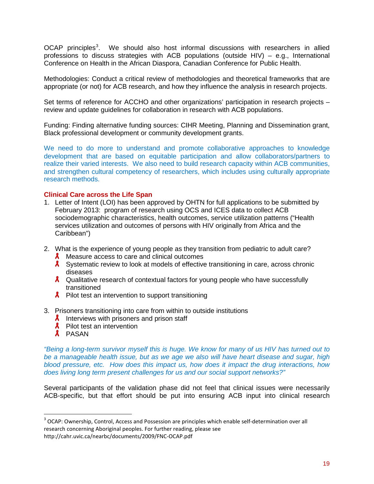OCAP principles<sup>[3](#page-18-1)</sup>. We should also host informal discussions with researchers in allied professions to discuss strategies with ACB populations (outside HIV) – e.g., International Conference on Health in the African Diaspora, Canadian Conference for Public Health.

Methodologies: Conduct a critical review of methodologies and theoretical frameworks that are appropriate (or not) for ACB research, and how they influence the analysis in research projects.

Set terms of reference for ACCHO and other organizations' participation in research projects – review and update guidelines for collaboration in research with ACB populations.

Funding: Finding alternative funding sources: CIHR Meeting, Planning and Dissemination grant, Black professional development or community development grants.

We need to do more to understand and promote collaborative approaches to knowledge development that are based on equitable participation and allow collaborators/partners to realize their varied interests. We also need to build research capacity within ACB communities, and strengthen cultural competency of researchers, which includes using culturally appropriate research methods.

#### <span id="page-18-0"></span>**Clinical Care across the Life Span**

- 1. Letter of Intent (LOI) has been approved by OHTN for full applications to be submitted by February 2013: program of research using OCS and ICES data to collect ACB sociodemographic characteristics, health outcomes, service utilization patterns ("Health services utilization and outcomes of persons with HIV originally from Africa and the Caribbean")
- 2. What is the experience of young people as they transition from pediatric to adult care?
	- $\lambda$  Measure access to care and clinical outcomes
	- **A** Systematic review to look at models of effective transitioning in care, across chronic diseases
	- $\lambda$  Qualitative research of contextual factors for young people who have successfully transitioned
	- $\lambda$  Pilot test an intervention to support transitioning
- 3. Prisoners transitioning into care from within to outside institutions
	- $\lambda$  Interviews with prisoners and prison staff
	- $\lambda$  Pilot test an intervention
	- **A** PASAN

*"Being a long-term survivor myself this is huge. We know for many of us HIV has turned out to be a manageable health issue, but as we age we also will have heart disease and sugar, high blood pressure, etc. How does this impact us, how does it impact the drug interactions, how does living long term present challenges for us and our social support networks?"* 

Several participants of the validation phase did not feel that clinical issues were necessarily ACB-specific, but that effort should be put into ensuring ACB input into clinical research

<span id="page-18-1"></span><sup>&</sup>lt;sup>3</sup> OCAP: Ownership, Control, Access and Possession are principles which enable self-determination over all research concerning Aboriginal peoples. For further reading, please see

http://cahr.uvic.ca/nearbc/documents/2009/FNC-OCAP.pdf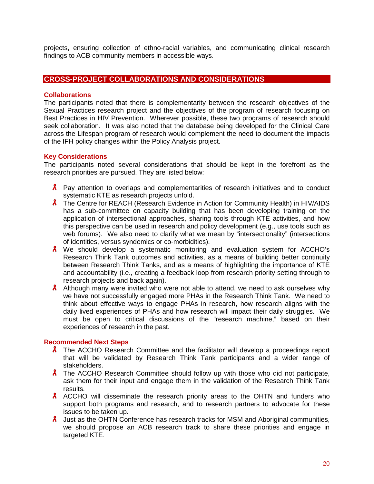projects, ensuring collection of ethno-racial variables, and communicating clinical research findings to ACB community members in accessible ways.

## <span id="page-19-0"></span>**CROSS-PROJECT COLLABORATIONS AND CONSIDERATIONS**

#### <span id="page-19-1"></span>**Collaborations**

The participants noted that there is complementarity between the research objectives of the Sexual Practices research project and the objectives of the program of research focusing on Best Practices in HIV Prevention. Wherever possible, these two programs of research should seek collaboration. It was also noted that the database being developed for the Clinical Care across the Lifespan program of research would complement the need to document the impacts of the IFH policy changes within the Policy Analysis project.

#### <span id="page-19-2"></span>**Key Considerations**

The participants noted several considerations that should be kept in the forefront as the research priorities are pursued. They are listed below:

- $\lambda$  Pay attention to overlaps and complementarities of research initiatives and to conduct systematic KTE as research projects unfold.
- **A** The Centre for REACH (Research Evidence in Action for Community Health) in HIV/AIDS has a sub-committee on capacity building that has been developing training on the application of intersectional approaches, sharing tools through KTE activities, and how this perspective can be used in research and policy development (e.g., use tools such as web forums). We also need to clarify what we mean by "intersectionality" (intersections of identities, versus syndemics or co-morbidities).
- **A** We should develop a systematic monitoring and evaluation system for ACCHO's Research Think Tank outcomes and activities, as a means of building better continuity between Research Think Tanks, and as a means of highlighting the importance of KTE and accountability (i.e., creating a feedback loop from research priority setting through to research projects and back again).
- A Although many were invited who were not able to attend, we need to ask ourselves why we have not successfully engaged more PHAs in the Research Think Tank. We need to think about effective ways to engage PHAs in research, how research aligns with the daily lived experiences of PHAs and how research will impact their daily struggles. We must be open to critical discussions of the "research machine," based on their experiences of research in the past.

#### <span id="page-19-3"></span>**Recommended Next Steps**

- **A** The ACCHO Research Committee and the facilitator will develop a proceedings report that will be validated by Research Think Tank participants and a wider range of stakeholders.
- $\lambda$  The ACCHO Research Committee should follow up with those who did not participate, ask them for their input and engage them in the validation of the Research Think Tank results.
- $\lambda$  ACCHO will disseminate the research priority areas to the OHTN and funders who support both programs and research, and to research partners to advocate for these issues to be taken up.
- $\lambda$  Just as the OHTN Conference has research tracks for MSM and Aboriginal communities, we should propose an ACB research track to share these priorities and engage in targeted KTE.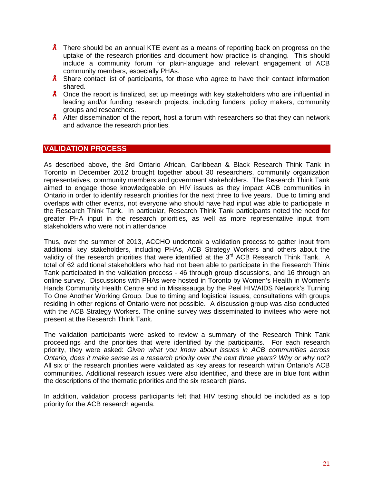- **A** There should be an annual KTE event as a means of reporting back on progress on the uptake of the research priorities and document how practice is changing. This should include a community forum for plain-language and relevant engagement of ACB community members, especially PHAs.
- $\lambda$  Share contact list of participants, for those who agree to have their contact information shared.
- $\lambda$  Once the report is finalized, set up meetings with key stakeholders who are influential in leading and/or funding research projects, including funders, policy makers, community groups and researchers.
- A After dissemination of the report, host a forum with researchers so that they can network and advance the research priorities.

## <span id="page-20-0"></span>**VALIDATION PROCESS**

As described above, the 3rd Ontario African, Caribbean & Black Research Think Tank in Toronto in December 2012 brought together about 30 researchers, community organization representatives, community members and government stakeholders. The Research Think Tank aimed to engage those knowledgeable on HIV issues as they impact ACB communities in Ontario in order to identify research priorities for the next three to five years. Due to timing and overlaps with other events, not everyone who should have had input was able to participate in the Research Think Tank. In particular, Research Think Tank participants noted the need for greater PHA input in the research priorities, as well as more representative input from stakeholders who were not in attendance.

Thus, over the summer of 2013, ACCHO undertook a validation process to gather input from additional key stakeholders, including PHAs, ACB Strategy Workers and others about the validity of the research priorities that were identified at the 3<sup>rd</sup> ACB Research Think Tank. A total of 62 additional stakeholders who had not been able to participate in the Research Think Tank participated in the validation process - 46 through group discussions, and 16 through an online survey. Discussions with PHAs were hosted in Toronto by Women's Health in Women's Hands Community Health Centre and in Mississauga by the Peel HIV/AIDS Network's Turning To One Another Working Group. Due to timing and logistical issues, consultations with groups residing in other regions of Ontario were not possible. A discussion group was also conducted with the ACB Strategy Workers. The online survey was disseminated to invitees who were not present at the Research Think Tank.

The validation participants were asked to review a summary of the Research Think Tank proceedings and the priorities that were identified by the participants. For each research priority, they were asked: *Given what you know about issues in ACB communities across Ontario, does it make sense as a research priority over the next three years? Why or why not?*  All six of the research priorities were validated as key areas for research within Ontario's ACB communities. Additional research issues were also identified, and these are in blue font within the descriptions of the thematic priorities and the six research plans.

In addition, validation process participants felt that HIV testing should be included as a top priority for the ACB research agenda.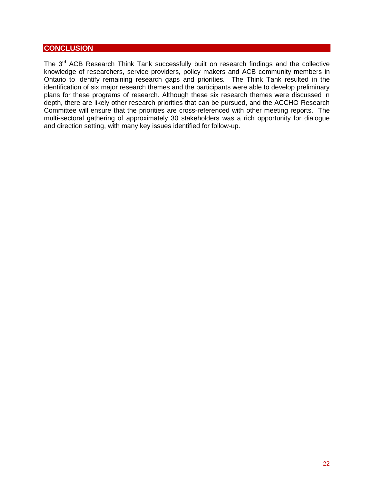## <span id="page-21-0"></span>**CONCLUSION**

The 3<sup>rd</sup> ACB Research Think Tank successfully built on research findings and the collective knowledge of researchers, service providers, policy makers and ACB community members in Ontario to identify remaining research gaps and priorities*.* The Think Tank resulted in the identification of six major research themes and the participants were able to develop preliminary plans for these programs of research. Although these six research themes were discussed in depth, there are likely other research priorities that can be pursued, and the ACCHO Research Committee will ensure that the priorities are cross-referenced with other meeting reports. The multi-sectoral gathering of approximately 30 stakeholders was a rich opportunity for dialogue and direction setting, with many key issues identified for follow-up.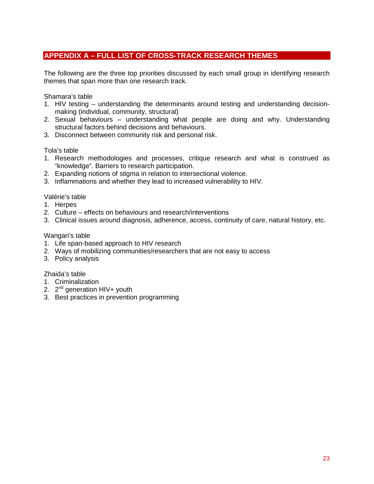## <span id="page-22-0"></span>**APPENDIX A – FULL LIST OF CROSS-TRACK RESEARCH THEMES**

The following are the three top priorities discussed by each small group in identifying research themes that span more than one research track.

Shamara's table

- 1. HIV testing understanding the determinants around testing and understanding decisionmaking (individual, community, structural)
- 2. Sexual behaviours understanding what people are doing and why. Understanding structural factors behind decisions and behaviours.
- 3. Disconnect between community risk and personal risk.

Tola's table

- 1. Research methodologies and processes, critique research and what is construed as "knowledge". Barriers to research participation.
- 2. Expanding notions of stigma in relation to intersectional violence.
- 3. Inflammations and whether they lead to increased vulnerability to HIV.

Valérie's table

- 1. Herpes
- 2. Culture effects on behaviours and research/interventions
- 3. Clinical issues around diagnosis, adherence, access, continuity of care, natural history, etc.

Wangari's table

- 1. Life span-based approach to HIV research
- 2. Ways of mobilizing communities/researchers that are not easy to access
- 3. Policy analysis

Zhaida's table

- 1. Criminalization
- 2.  $2^{nd}$  generation HIV+ youth
- 3. Best practices in prevention programming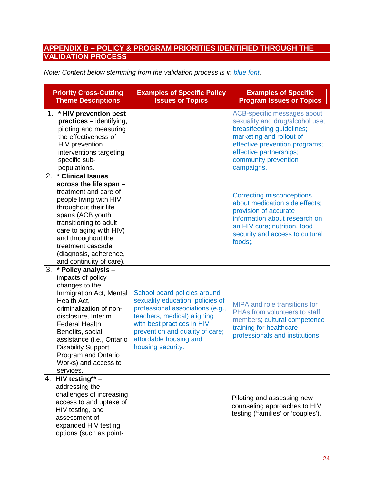## <span id="page-23-0"></span>**APPENDIX B – POLICY & PROGRAM PRIORITIES IDENTIFIED THROUGH THE VALIDATION PROCESS**

| Note: Content below stemming from the validation process is in blue font. |  |  |
|---------------------------------------------------------------------------|--|--|
|---------------------------------------------------------------------------|--|--|

| <b>Priority Cross-Cutting</b><br><b>Theme Descriptions</b>                                                                                                                                                                                                                                                                      | <b>Examples of Specific Policy</b><br><b>Issues or Topics</b>                                                                                                                                                                                       | <b>Examples of Specific</b><br><b>Program Issues or Topics</b>                                                                                                                                                             |
|---------------------------------------------------------------------------------------------------------------------------------------------------------------------------------------------------------------------------------------------------------------------------------------------------------------------------------|-----------------------------------------------------------------------------------------------------------------------------------------------------------------------------------------------------------------------------------------------------|----------------------------------------------------------------------------------------------------------------------------------------------------------------------------------------------------------------------------|
| 1. * HIV prevention best<br>$practices$ – identifying,<br>piloting and measuring<br>the effectiveness of<br>HIV prevention<br>interventions targeting<br>specific sub-<br>populations.                                                                                                                                          |                                                                                                                                                                                                                                                     | ACB-specific messages about<br>sexuality and drug/alcohol use;<br>breastfeeding guidelines;<br>marketing and rollout of<br>effective prevention programs;<br>effective partnerships;<br>community prevention<br>campaigns. |
| 2.<br>* Clinical Issues<br>across the life span -<br>treatment and care of<br>people living with HIV<br>throughout their life<br>spans (ACB youth<br>transitioning to adult<br>care to aging with HIV)<br>and throughout the<br>treatment cascade<br>(diagnosis, adherence,<br>and continuity of care).                         |                                                                                                                                                                                                                                                     | <b>Correcting misconceptions</b><br>about medication side effects;<br>provision of accurate<br>information about research on<br>an HIV cure; nutrition, food<br>security and access to cultural<br>foods:.                 |
| 3.<br>* Policy analysis -<br>impacts of policy<br>changes to the<br>Immigration Act, Mental<br>Health Act,<br>criminalization of non-<br>disclosure, Interim<br><b>Federal Health</b><br>Benefits, social<br>assistance (i.e., Ontario<br><b>Disability Support</b><br>Program and Ontario<br>Works) and access to<br>services. | School board policies around<br>sexuality education; policies of<br>professional associations (e.g.,<br>teachers, medical) aligning<br>with best practices in HIV<br>prevention and quality of care;<br>affordable housing and<br>housing security. | <b>MIPA and role transitions for</b><br>PHAs from volunteers to staff<br>members; cultural competence<br>training for healthcare<br>professionals and institutions.                                                        |
| 4. HIV testing** -<br>addressing the<br>challenges of increasing<br>access to and uptake of<br>HIV testing, and<br>assessment of<br>expanded HIV testing<br>options (such as point-                                                                                                                                             |                                                                                                                                                                                                                                                     | Piloting and assessing new<br>counseling approaches to HIV<br>testing ('families' or 'couples').                                                                                                                           |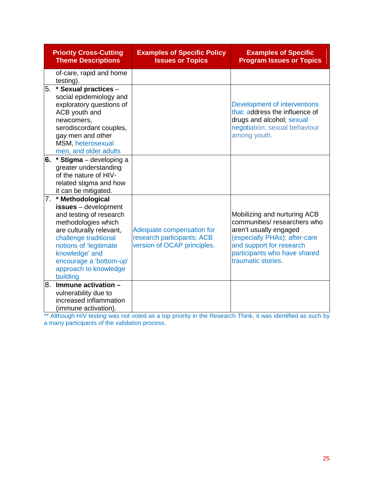|    | <b>Priority Cross-Cutting</b><br><b>Theme Descriptions</b>                                                                                                                                                                                                   | <b>Examples of Specific Policy</b><br><b>Issues or Topics</b>                          | <b>Examples of Specific</b><br><b>Program Issues or Topics</b>                                                                                                                                           |
|----|--------------------------------------------------------------------------------------------------------------------------------------------------------------------------------------------------------------------------------------------------------------|----------------------------------------------------------------------------------------|----------------------------------------------------------------------------------------------------------------------------------------------------------------------------------------------------------|
|    | of-care, rapid and home<br>testing).                                                                                                                                                                                                                         |                                                                                        |                                                                                                                                                                                                          |
| 5. | * Sexual practices -<br>social epidemiology and<br>exploratory questions of<br>ACB youth and<br>newcomers,<br>serodiscordant couples,<br>gay men and other<br>MSM, heterosexual<br>men, and older adults                                                     |                                                                                        | Development of interventions<br>that: address the influence of<br>drugs and alcohol; sexual<br>negotiation; sexual behaviour<br>among youth.                                                             |
| 6. | * Stigma - developing a<br>greater understanding<br>of the nature of HIV-<br>related stigma and how<br>it can be mitigated.                                                                                                                                  |                                                                                        |                                                                                                                                                                                                          |
| 7. | * Methodological<br>issues - development<br>and testing of research<br>methodologies which<br>are culturally relevant,<br>challenge traditional<br>notions of 'legitimate<br>knowledge' and<br>encourage a 'bottom-up'<br>approach to knowledge<br>building. | Adequate compensation for<br>research participants; ACB<br>version of OCAP principles. | Mobilizing and nurturing ACB<br>communities/researchers who<br>aren't usually engaged<br>(especially PHAs); after-care<br>and support for research<br>participants who have shared<br>traumatic stories. |
| 8. | Immune activation -<br>vulnerability due to<br>increased inflammation<br>(immune activation).                                                                                                                                                                |                                                                                        |                                                                                                                                                                                                          |

\*\* Although HIV testing was not voted as a top priority in the Research Think, it was identified as such by a many participants of the validation process.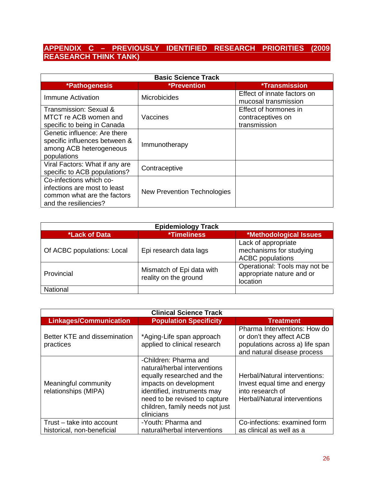## <span id="page-25-0"></span>**APPENDIX C – PREVIOUSLY IDENTIFIED RESEARCH PRIORITIES (2009 REASEARCH THINK TANK)**

| <b>Basic Science Track</b>                                                                                      |                                                   |                                                            |  |  |
|-----------------------------------------------------------------------------------------------------------------|---------------------------------------------------|------------------------------------------------------------|--|--|
| *Pathogenesis                                                                                                   | <b>*Prevention</b><br><i><b>*Transmission</b></i> |                                                            |  |  |
| Immune Activation                                                                                               | <b>Microbicides</b>                               | Effect of innate factors on<br>mucosal transmission        |  |  |
| Transmission: Sexual &<br>MTCT re ACB women and<br>specific to being in Canada                                  | Vaccines                                          | Effect of hormones in<br>contraceptives on<br>transmission |  |  |
| Genetic influence: Are there<br>specific influences between &<br>among ACB heterogeneous<br>populations         | Immunotherapy                                     |                                                            |  |  |
| Viral Factors: What if any are<br>specific to ACB populations?                                                  | Contraceptive                                     |                                                            |  |  |
| Co-infections which co-<br>infections are most to least<br>common what are the factors<br>and the resiliencies? | <b>New Prevention Technologies</b>                |                                                            |  |  |

| <b>Epidemiology Track</b>  |                                                    |                                                                           |  |
|----------------------------|----------------------------------------------------|---------------------------------------------------------------------------|--|
| *Lack of Data              | <i><b>*Timeliness</b></i>                          | *Methodological Issues                                                    |  |
| Of ACBC populations: Local | Epi research data lags                             | Lack of appropriate<br>mechanisms for studying<br><b>ACBC</b> populations |  |
| Provincial                 | Mismatch of Epi data with<br>reality on the ground | Operational: Tools may not be<br>appropriate nature and or<br>location    |  |
| National                   |                                                    |                                                                           |  |

| <b>Clinical Science Track</b>                           |                                                                                                                                                                                                                                |                                                                                                                            |  |  |  |  |
|---------------------------------------------------------|--------------------------------------------------------------------------------------------------------------------------------------------------------------------------------------------------------------------------------|----------------------------------------------------------------------------------------------------------------------------|--|--|--|--|
| <b>Linkages/Communication</b>                           | <b>Population Specificity</b>                                                                                                                                                                                                  | <b>Treatment</b>                                                                                                           |  |  |  |  |
| Better KTE and dissemination<br>practices               | *Aging-Life span approach<br>applied to clinical research                                                                                                                                                                      | Pharma Interventions: How do<br>or don't they affect ACB<br>populations across a) life span<br>and natural disease process |  |  |  |  |
| Meaningful community<br>relationships (MIPA)            | -Children: Pharma and<br>natural/herbal interventions<br>equally researched and the<br>impacts on development<br>identified, instruments may<br>need to be revised to capture<br>children, family needs not just<br>clinicians | Herbal/Natural interventions:<br>Invest equal time and energy<br>into research of<br>Herbal/Natural interventions          |  |  |  |  |
| Trust - take into account<br>historical, non-beneficial | -Youth: Pharma and<br>natural/herbal interventions                                                                                                                                                                             | Co-infections: examined form<br>as clinical as well as a                                                                   |  |  |  |  |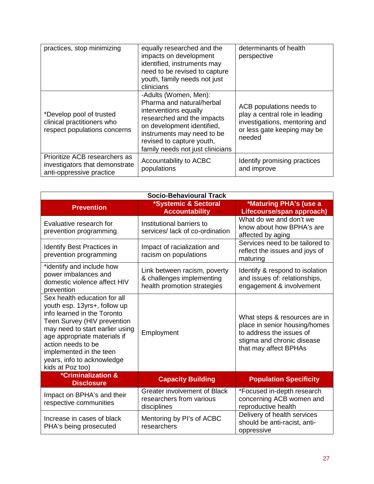| practices, stop minimizing                                                                  | equally researched and the<br>impacts on development<br>identified, instruments may<br>need to be revised to capture<br>youth, family needs not just<br>clinicians                                                                     | determinants of health<br>perspective                                                                                                |
|---------------------------------------------------------------------------------------------|----------------------------------------------------------------------------------------------------------------------------------------------------------------------------------------------------------------------------------------|--------------------------------------------------------------------------------------------------------------------------------------|
| *Develop pool of trusted<br>clinical practitioners who<br>respect populations concerns      | -Adults (Women, Men):<br>Pharma and natural/herbal<br>interventions equally<br>researched and the impacts<br>on development identified,<br>instruments may need to be<br>revised to capture youth,<br>family needs not just clinicians | ACB populations needs to<br>play a central role in leading<br>investigations, mentoring and<br>or less gate keeping may be<br>needed |
| Prioritize ACB researchers as<br>investigators that demonstrate<br>anti-oppressive practice | Accountability to ACBC<br>populations                                                                                                                                                                                                  | Identify promising practices<br>and improve                                                                                          |

| <b>Socio-Behavioural Track</b>                                                                                                                                                                                                                                                                   |                                                                                          |                                                                                                                                                   |  |  |  |  |
|--------------------------------------------------------------------------------------------------------------------------------------------------------------------------------------------------------------------------------------------------------------------------------------------------|------------------------------------------------------------------------------------------|---------------------------------------------------------------------------------------------------------------------------------------------------|--|--|--|--|
| <b>Prevention</b>                                                                                                                                                                                                                                                                                | *Systemic & Sectoral<br><b>Accountability</b>                                            | *Maturing PHA's (use a<br>Lifecourse/span approach)                                                                                               |  |  |  |  |
| Evaluative research for<br>prevention programming                                                                                                                                                                                                                                                | Institutional barriers to<br>services/ lack of co-ordination                             | What do we and don't we<br>know about how BPHA's are<br>affected by aging                                                                         |  |  |  |  |
| <b>Identify Best Practices in</b><br>prevention programming                                                                                                                                                                                                                                      | Impact of racialization and<br>racism on populations                                     | Services need to be tailored to<br>reflect the issues and joys of<br>maturing                                                                     |  |  |  |  |
| *identify and include how<br>power imbalances and<br>domestic violence affect HIV<br>prevention                                                                                                                                                                                                  | Link between racism, poverty<br>& challenges implementing<br>health promotion strategies | Identify & respond to isolation<br>and issues of: relationships,<br>engagement & involvement                                                      |  |  |  |  |
| Sex health education for all<br>youth esp. 13yrs+, follow up<br>info learned in the Toronto<br>Teen Survey (HIV prevention<br>may need to start earlier using<br>age appropriate materials if<br>action needs to be<br>implemented in the teen<br>years, info to acknowledge<br>kids at Poz too) | Employment                                                                               | What steps & resources are in<br>place in senior housing/homes<br>to address the issues of<br>stigma and chronic disease<br>that may affect BPHAs |  |  |  |  |
| <b>*Criminalization &amp;</b><br><b>Disclosure</b>                                                                                                                                                                                                                                               | <b>Capacity Building</b>                                                                 | <b>Population Specificity</b>                                                                                                                     |  |  |  |  |
| Impact on BPHA's and their<br>respective communities                                                                                                                                                                                                                                             | <b>Greater involvement of Black</b><br>researchers from various<br>disciplines           | *Focused in-depth research<br>concerning ACB women and<br>reproductive health                                                                     |  |  |  |  |
| Increase in cases of black<br>PHA's being prosecuted                                                                                                                                                                                                                                             | Mentoring by PI's of ACBC<br>researchers                                                 | Delivery of health services<br>should be anti-racist, anti-<br>oppressive                                                                         |  |  |  |  |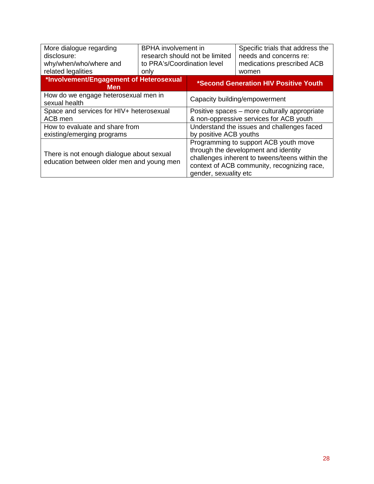| More dialogue regarding<br>disclosure:<br>why/when/who/where and<br>related legalities | <b>BPHA</b> involvement in<br>research should not be limited<br>to PRA's/Coordination level<br>only |                                                                                                                                                                                                         | Specific trials that address the<br>needs and concerns re:<br>medications prescribed ACB<br>women |
|----------------------------------------------------------------------------------------|-----------------------------------------------------------------------------------------------------|---------------------------------------------------------------------------------------------------------------------------------------------------------------------------------------------------------|---------------------------------------------------------------------------------------------------|
| *Involvement/Engagement of Heterosexual<br><b>Men</b>                                  |                                                                                                     | *Second Generation HIV Positive Youth                                                                                                                                                                   |                                                                                                   |
| How do we engage heterosexual men in<br>sexual health                                  |                                                                                                     | Capacity building/empowerment                                                                                                                                                                           |                                                                                                   |
| Space and services for HIV+ heterosexual                                               |                                                                                                     | Positive spaces - more culturally appropriate                                                                                                                                                           |                                                                                                   |
| ACB men                                                                                |                                                                                                     | & non-oppressive services for ACB youth                                                                                                                                                                 |                                                                                                   |
| How to evaluate and share from                                                         |                                                                                                     | Understand the issues and challenges faced                                                                                                                                                              |                                                                                                   |
| existing/emerging programs                                                             |                                                                                                     | by positive ACB youths                                                                                                                                                                                  |                                                                                                   |
| There is not enough dialogue about sexual<br>education between older men and young men |                                                                                                     | Programming to support ACB youth move<br>through the development and identity<br>challenges inherent to tweens/teens within the<br>context of ACB community, recognizing race,<br>gender, sexuality etc |                                                                                                   |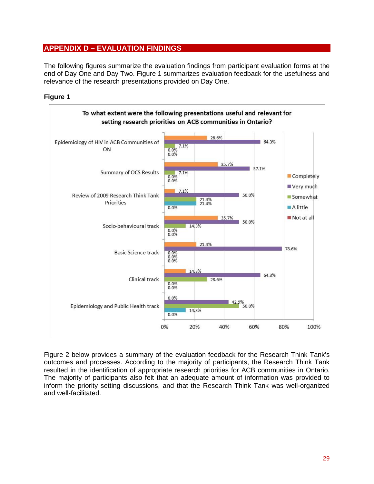## <span id="page-28-0"></span>**APPENDIX D – EVALUATION FINDINGS**

The following figures summarize the evaluation findings from participant evaluation forms at the end of Day One and Day Two. Figure 1 summarizes evaluation feedback for the usefulness and relevance of the research presentations provided on Day One.

#### **Figure 1**



Figure 2 below provides a summary of the evaluation feedback for the Research Think Tank's outcomes and processes. According to the majority of participants, the Research Think Tank resulted in the identification of appropriate research priorities for ACB communities in Ontario. The majority of participants also felt that an adequate amount of information was provided to inform the priority setting discussions, and that the Research Think Tank was well-organized and well-facilitated.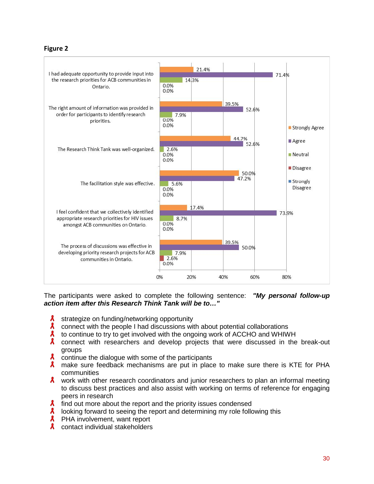#### **Figure 2**



The participants were asked to complete the following sentence: *"My personal follow-up action item after this Research Think Tank will be to…"*

- $\boldsymbol{\mathsf{X}}$ strategize on funding/networking opportunity
- $\boldsymbol{\mathsf{z}}$ connect with the people I had discussions with about potential collaborations
- $\mathbf{x}$ to continue to try to get involved with the ongoing work of ACCHO and WHIWH
- $\mathbf{x}$ connect with researchers and develop projects that were discussed in the break-out groups
- $\lambda$  continue the dialogue with some of the participants
- **A** make sure feedback mechanisms are put in place to make sure there is KTE for PHA communities
- $\lambda$  work with other research coordinators and junior researchers to plan an informal meeting to discuss best practices and also assist with working on terms of reference for engaging peers in research
- $\lambda$  find out more about the report and the priority issues condensed
- $\lambda$ looking forward to seeing the report and determining my role following this
- $\lambda$ PHA involvement, want report
- $\lambda$  contact individual stakeholders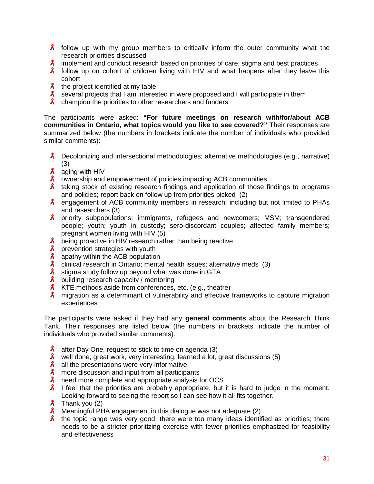- $\lambda$  follow up with my group members to critically inform the outer community what the research priorities discussed
- $\lambda$  implement and conduct research based on priorities of care, stigma and best practices
- $\lambda$  follow up on cohort of children living with HIV and what happens after they leave this cohort
- $\lambda$  the project identified at my table
- $\lambda$  several projects that I am interested in were proposed and I will participate in them
- $\lambda$  champion the priorities to other researchers and funders

The participants were asked: **"For future meetings on research with/for/about ACB communities in Ontario, what topics would you like to see covered?"** Their responses are summarized below (the numbers in brackets indicate the number of individuals who provided similar comments):

- **A** Decolonizing and intersectional methodologies; alternative methodologies (e.g., narrative) (3)
- **A** aging with HIV
- $\lambda$  ownership and empowerment of policies impacting ACB communities
- $\lambda$  taking stock of existing research findings and application of those findings to programs and policies; report back on follow up from priorities picked (2)
- A engagement of ACB community members in research, including but not limited to PHAs and researchers (3)
- **A** priority subpopulations: immigrants, refugees and newcomers; MSM; transgendered people; youth; youth in custody; sero-discordant couples; affected family members; pregnant women living with HIV (5)
- $\lambda$  being proactive in HIV research rather than being reactive
- $\lambda$ prevention strategies with youth
- $\boldsymbol{\mathsf{z}}$ apathy within the ACB population
- $\boldsymbol{\mathsf{z}}$ clinical research in Ontario; mental health issues; alternative meds (3)
- $\lambda$  stigma study follow up beyond what was done in GTA
- $\lambda$  building research capacity / mentoring
- $\lambda$  KTE methods aside from conferences, etc. (e.g., theatre)
- A migration as a determinant of vulnerability and effective frameworks to capture migration experiences

The participants were asked if they had any **general comments** about the Research Think Tank. Their responses are listed below (the numbers in brackets indicate the number of individuals who provided similar comments):

- $\mathbf{x}$ after Day One, request to stick to time on agenda (3)
- **A** well done, great work, very interesting, learned a lot, great discussions (5)
- $\lambda$  all the presentations were very informative
- $\lambda$ more discussion and input from all participants
- $\boldsymbol{\mathsf{z}}$ need more complete and appropriate analysis for OCS
- $\lambda$  I feel that the priorities are probably appropriate, but it is hard to judge in the moment. Looking forward to seeing the report so I can see how it all fits together.
- $\lambda$  Thank you (2)
- $\lambda$  Meaningful PHA engagement in this dialogue was not adequate (2)
- $\lambda$  the topic range was very good; there were too many ideas identified as priorities; there needs to be a stricter prioritizing exercise with fewer priorities emphasized for feasibility and effectiveness